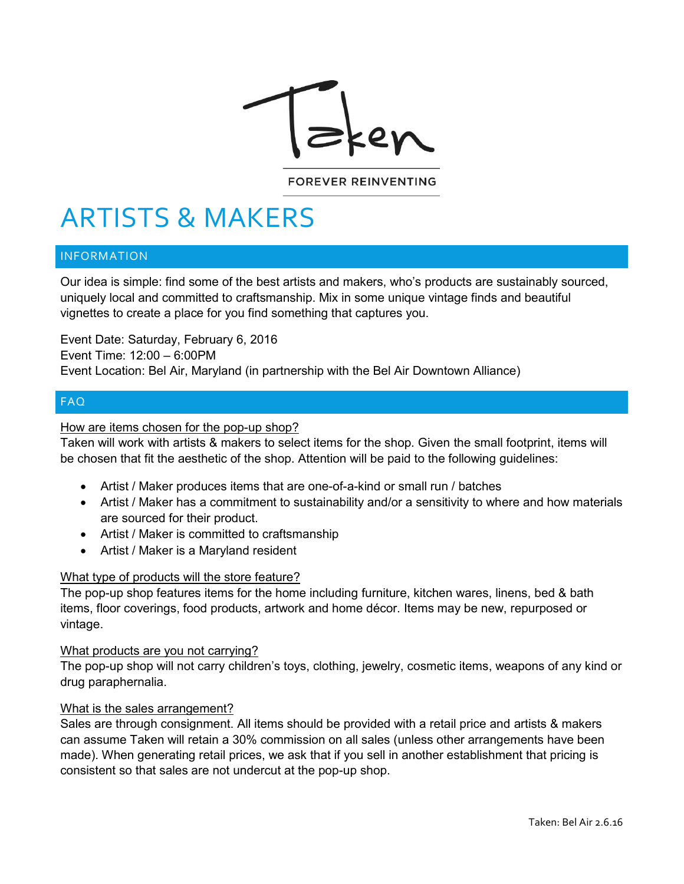

#### **FOREVER REINVENTING**

# ARTISTS & MAKERS

## INFORMATION

Our idea is simple: find some of the best artists and makers, who's products are sustainably sourced, uniquely local and committed to craftsmanship. Mix in some unique vintage finds and beautiful vignettes to create a place for you find something that captures you.

Event Date: Saturday, February 6, 2016 Event Time: 12:00 – 6:00PM Event Location: Bel Air, Maryland (in partnership with the Bel Air Downtown Alliance)

# FAQ

### How are items chosen for the pop-up shop?

Taken will work with artists & makers to select items for the shop. Given the small footprint, items will be chosen that fit the aesthetic of the shop. Attention will be paid to the following guidelines:

- Artist / Maker produces items that are one-of-a-kind or small run / batches
- Artist / Maker has a commitment to sustainability and/or a sensitivity to where and how materials are sourced for their product.
- Artist / Maker is committed to craftsmanship
- Artist / Maker is a Maryland resident

#### What type of products will the store feature?

The pop-up shop features items for the home including furniture, kitchen wares, linens, bed & bath items, floor coverings, food products, artwork and home décor. Items may be new, repurposed or vintage.

#### What products are you not carrying?

The pop-up shop will not carry children's toys, clothing, jewelry, cosmetic items, weapons of any kind or drug paraphernalia.

#### What is the sales arrangement?

Sales are through consignment. All items should be provided with a retail price and artists & makers can assume Taken will retain a 30% commission on all sales (unless other arrangements have been made). When generating retail prices, we ask that if you sell in another establishment that pricing is consistent so that sales are not undercut at the pop-up shop.